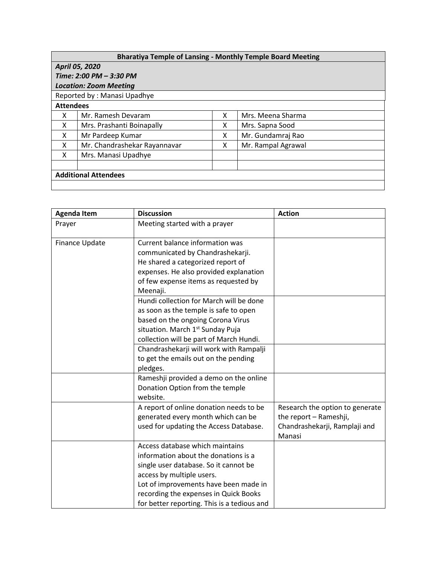| <b>Bharatiya Temple of Lansing - Monthly Temple Board Meeting</b> |                              |   |                    |  |  |  |
|-------------------------------------------------------------------|------------------------------|---|--------------------|--|--|--|
| April 05, 2020                                                    |                              |   |                    |  |  |  |
| Time: 2:00 PM - 3:30 PM                                           |                              |   |                    |  |  |  |
| <b>Location: Zoom Meeting</b>                                     |                              |   |                    |  |  |  |
| Reported by: Manasi Upadhye                                       |                              |   |                    |  |  |  |
| <b>Attendees</b>                                                  |                              |   |                    |  |  |  |
| x                                                                 | Mr. Ramesh Devaram           | X | Mrs. Meena Sharma  |  |  |  |
| X                                                                 | Mrs. Prashanti Boinapally    | X | Mrs. Sapna Sood    |  |  |  |
| X                                                                 | Mr Pardeep Kumar             | x | Mr. Gundamraj Rao  |  |  |  |
| x                                                                 | Mr. Chandrashekar Rayannavar | x | Mr. Rampal Agrawal |  |  |  |
| X                                                                 | Mrs. Manasi Upadhye          |   |                    |  |  |  |
|                                                                   |                              |   |                    |  |  |  |
| <b>Additional Attendees</b>                                       |                              |   |                    |  |  |  |
|                                                                   |                              |   |                    |  |  |  |

| <b>Agenda Item</b> | <b>Discussion</b>                           | <b>Action</b>                   |
|--------------------|---------------------------------------------|---------------------------------|
| Prayer             | Meeting started with a prayer               |                                 |
| Finance Update     | Current balance information was             |                                 |
|                    | communicated by Chandrashekarji.            |                                 |
|                    | He shared a categorized report of           |                                 |
|                    | expenses. He also provided explanation      |                                 |
|                    | of few expense items as requested by        |                                 |
|                    | Meenaji.                                    |                                 |
|                    | Hundi collection for March will be done     |                                 |
|                    | as soon as the temple is safe to open       |                                 |
|                    | based on the ongoing Corona Virus           |                                 |
|                    | situation. March 1st Sunday Puja            |                                 |
|                    | collection will be part of March Hundi.     |                                 |
|                    | Chandrashekarji will work with Rampalji     |                                 |
|                    | to get the emails out on the pending        |                                 |
|                    | pledges.                                    |                                 |
|                    | Rameshji provided a demo on the online      |                                 |
|                    | Donation Option from the temple             |                                 |
|                    | website.                                    |                                 |
|                    | A report of online donation needs to be     | Research the option to generate |
|                    | generated every month which can be          | the report - Rameshji,          |
|                    | used for updating the Access Database.      | Chandrashekarji, Ramplaji and   |
|                    |                                             | Manasi                          |
|                    | Access database which maintains             |                                 |
|                    | information about the donations is a        |                                 |
|                    | single user database. So it cannot be       |                                 |
|                    | access by multiple users.                   |                                 |
|                    | Lot of improvements have been made in       |                                 |
|                    | recording the expenses in Quick Books       |                                 |
|                    | for better reporting. This is a tedious and |                                 |